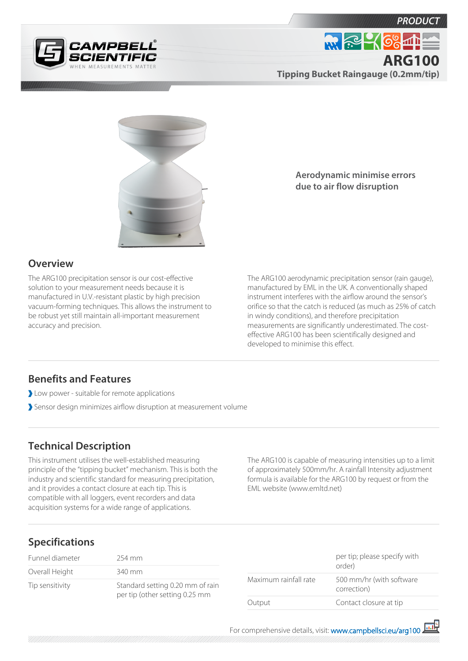





**Overview**

The ARG100 precipitation sensor is our cost-effective solution to your measurement needs because it is manufactured in U.V.-resistant plastic by high precision vacuum-forming techniques. This allows the instrument to be robust yet still maintain all-important measurement accuracy and precision.

**Aerodynamic minimise errors due to air flow disruption**

The ARG100 aerodynamic precipitation sensor (rain gauge), manufactured by EML in the UK. A conventionally shaped instrument interferes with the airflow around the sensor's orifice so that the catch is reduced (as much as 25% of catch in windy conditions), and therefore precipitation measurements are significantly underestimated. The costeffective ARG100 has been scientifically designed and developed to minimise this effect.

## **Benefits and Features**

- Low power suitable for remote applications
- Sensor design minimizes airflow disruption at measurement volume

## **Technical Description**

This instrument utilises the well-established measuring principle of the "tipping bucket" mechanism. This is both the industry and scientific standard for measuring precipitation, and it provides a contact closure at each tip. This is compatible with all loggers, event recorders and data acquisition systems for a wide range of applications.

The ARG100 is capable of measuring intensities up to a limit of approximately 500mm/hr. A rainfall Intensity adjustment formula is available for the ARG100 by request or from the EML website (www.emltd.net)

## **Specifications**

| Funnel diameter | 254 mm                                                             |
|-----------------|--------------------------------------------------------------------|
| Overall Height  | 340 mm                                                             |
| Tip sensitivity | Standard setting 0.20 mm of rain<br>per tip (other setting 0.25 mm |

|                       | per tip; please specify with<br>order)  |
|-----------------------|-----------------------------------------|
| Maximum rainfall rate | 500 mm/hr (with software<br>correction) |
| Output                | Contact closure at tip                  |

For comprehensive details, visit: [www.campbellsci.eu/arg100](https://www.campbellsci.eu/arg100)